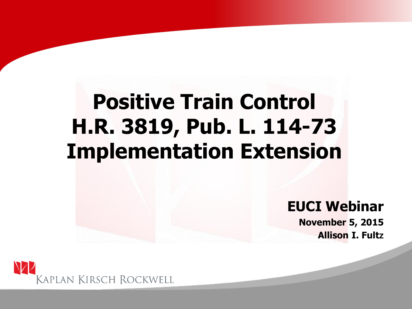### **Positive Train Control H.R. 3819, Pub. L. 114-73 Implementation Extension**

#### **EUCI Webinar**

**November 5, 2015 Allison I. Fultz**

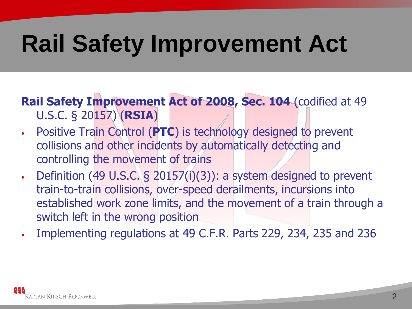## **Rail Safety Improvement Act**

**Rail Safety Improvement Act of 2008, Sec. 104** (codified at 49 U.S.C. § 20157) (**RSIA**)

- Positive Train Control (**PTC**) is technology designed to prevent collisions and other incidents by automatically detecting and controlling the movement of trains
- Definition (49 U.S.C. § 20157(i)(3)): a system designed to prevent train-to-train collisions, over-speed derailments, incursions into established work zone limits, and the movement of a train through a switch left in the wrong position
- Implementing regulations at 49 C.F.R. Parts 229, 234, 235 and 236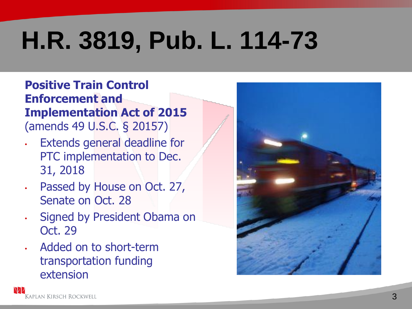# **H.R. 3819, Pub. L. 114-73**

#### **Positive Train Control Enforcement and Implementation Act of 2015**  (amends 49 U.S.C. § 20157)

- Extends general deadline for PTC implementation to Dec. 31, 2018
- Passed by House on Oct. 27, Senate on Oct. 28
- Signed by President Obama on Oct. 29
- Added on to short-term transportation funding extension

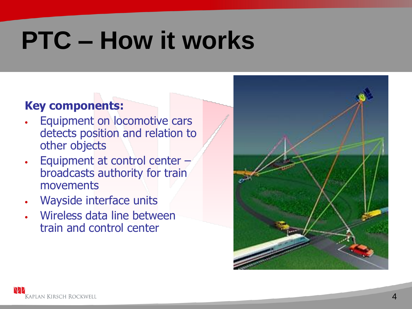## **PTC – How it works**

#### **Key components:**

- Equipment on locomotive cars detects position and relation to other objects
- Equipment at control center broadcasts authority for train movements
- Wayside interface units
- Wireless data line between train and control center

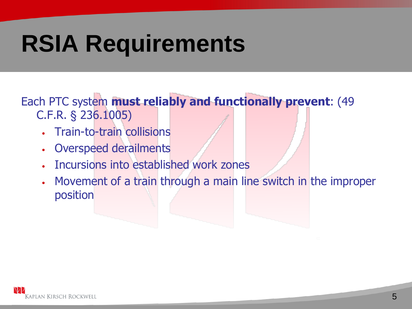Each PTC system **must reliably and functionally prevent**: (49 C.F.R. § 236.1005)

- Train-to-train collisions
- Overspeed derailments
- Incursions into established work zones
- Movement of a train through a main line switch in the improper position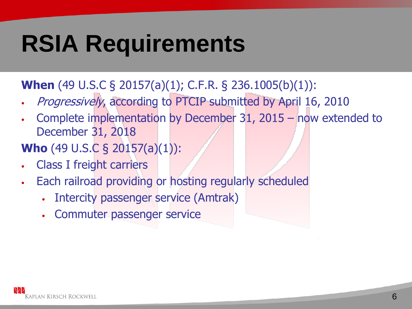### **When** (49 U.S.C § 20157(a)(1); C.F.R. § 236.1005(b)(1)):

- Progressively, according to PTCIP submitted by April 16, 2010
- Complete implementation by December 31, 2015 now extended to December 31, 2018

### **Who** (49 U.S.C § 20157(a)(1)):

- Class I freight carriers
- Each railroad providing or hosting regularly scheduled
	- Intercity passenger service (Amtrak)
	- Commuter passenger service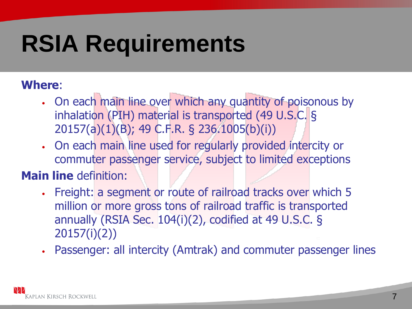#### **Where**:

- On each main line over which any quantity of poisonous by inhalation (PIH) material is transported (49 U.S.C. § 20157(a)(1)(B); 49 C.F.R. § 236.1005(b)(i))
- On each main line used for regularly provided intercity or commuter passenger service, subject to limited exceptions

#### **Main line** definition:

- Freight: a segment or route of railroad tracks over which 5 million or more gross tons of railroad traffic is transported annually (RSIA Sec. 104(i)(2), codified at 49 U.S.C. § 20157(i)(2))
- Passenger: all intercity (Amtrak) and commuter passenger lines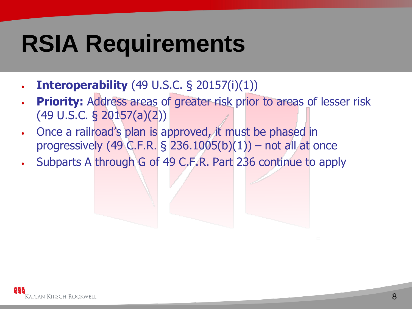- **Interoperability** (49 U.S.C. § 20157(i)(1))
- **Priority:** Address areas of greater risk prior to areas of lesser risk (49 U.S.C. § 20157(a)(2))
- Once a railroad's plan is approved, it must be phased in progressively (49 C.F.R.  $\S$  236.1005(b)(1)) – not all at once
- Subparts A through G of 49 C.F.R. Part 236 continue to apply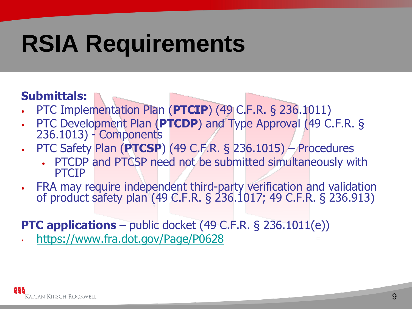#### **Submittals:**

- PTC Implementation Plan (**PTCIP**) (49 C.F.R. § 236.1011)
- PTC Development Plan (**PTCDP**) and Type Approval (49 C.F.R. § 236.1013) - Components
- PTC Safety Plan (**PTCSP**) (49 C.F.R. § 236.1015) Procedures
	- PTCDP and PTCSP need not be submitted simultaneously with PTCIP
- FRA may require independent third-party verification and validation of product safety plan (49 C.F.R. § 236.1017; 49 C.F.R. § 236.913)

#### **PTC applications** – public docket (49 C.F.R. § 236.1011(e))

• <https://www.fra.dot.gov/Page/P0628>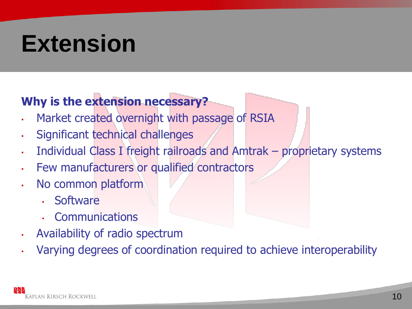### **Why is the extension necessary?**

- Market created overnight with passage of RSIA
- Significant technical challenges
- Individual Class I freight railroads and Amtrak proprietary systems
- Few manufacturers or qualified contractors
- No common platform
	- Software
	- **Communications**
- Availability of radio spectrum
- Varying degrees of coordination required to achieve interoperability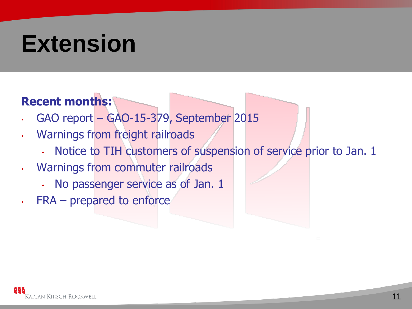#### **Recent months:**

- GAO report GAO-15-379, September 2015
- Warnings from freight railroads
	- Notice to TIH customers of suspension of service prior to Jan. 1
- Warnings from commuter railroads
	- No passenger service as of Jan. 1
- FRA prepared to enforce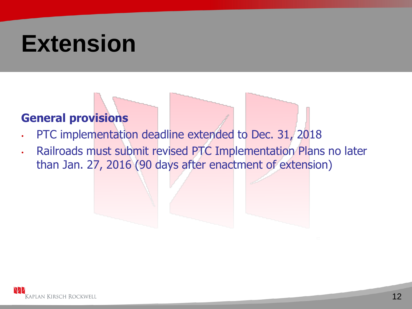#### **General provisions**

- PTC implementation deadline extended to Dec. 31, 2018
- Railroads must submit revised PTC Implementation Plans no later than Jan. 27, 2016 (90 days after enactment of extension)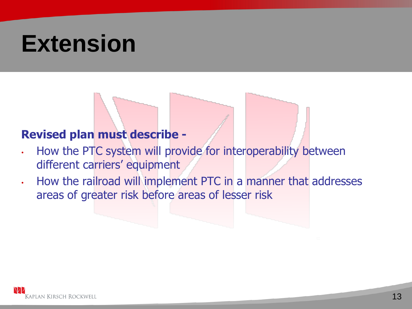#### **Revised plan must describe -**

- How the PTC system will provide for interoperability between different carriers' equipment
- How the railroad will implement PTC in a manner that addresses areas of greater risk before areas of lesser risk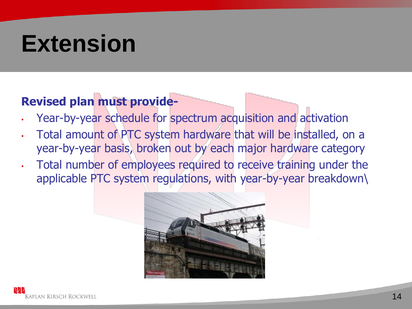#### **Revised plan must provide-**

- Year-by-year schedule for spectrum acquisition and activation
- Total amount of PTC system hardware that will be installed, on a year-by-year basis, broken out by each major hardware category
- Total number of employees required to receive training under the applicable PTC system regulations, with year-by-year breakdown\

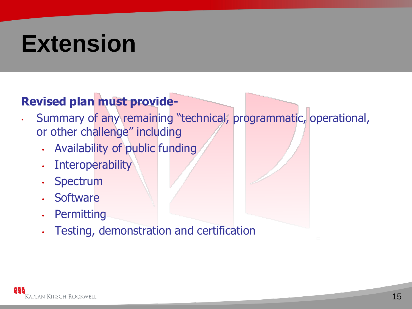### **Revised plan must provide-**

- Summary of any remaining "technical, programmatic, operational, or other challenge" including
	- Availability of public funding
	- Interoperability
	- Spectrum
	- Software
	- Permitting
	- Testing, demonstration and certification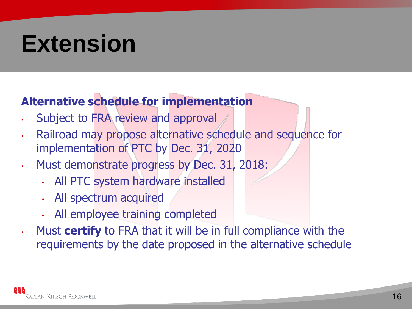### **Alternative schedule for implementation**

- Subject to FRA review and approval
- Railroad may propose alternative schedule and sequence for implementation of PTC by Dec. 31, 2020
- Must demonstrate progress by Dec. 31, 2018:
	- All PTC system hardware installed
	- All spectrum acquired
	- All employee training completed
- Must **certify** to FRA that it will be in full compliance with the requirements by the date proposed in the alternative schedule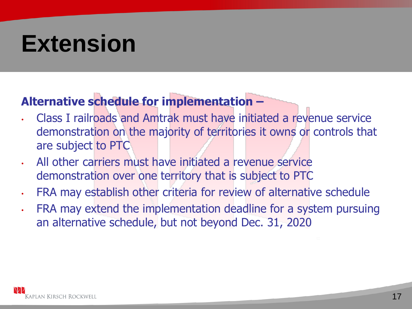### **Alternative schedule for implementation –**

- Class I railroads and Amtrak must have initiated a revenue service demonstration on the majority of territories it owns or controls that are subject to PTC
- All other carriers must have initiated a revenue service demonstration over one territory that is subject to PTC
- FRA may establish other criteria for review of alternative schedule
- FRA may extend the implementation deadline for a system pursuing an alternative schedule, but not beyond Dec. 31, 2020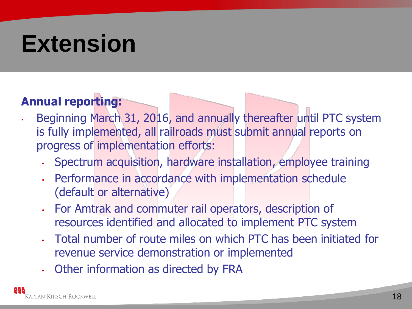#### **Annual reporting:**

- Beginning March 31, 2016, and annually thereafter until PTC system is fully implemented, all railroads must submit annual reports on progress of implementation efforts:
	- Spectrum acquisition, hardware installation, employee training
	- Performance in accordance with implementation schedule (default or alternative)
	- For Amtrak and commuter rail operators, description of resources identified and allocated to implement PTC system
	- Total number of route miles on which PTC has been initiated for revenue service demonstration or implemented
	- Other information as directed by FRA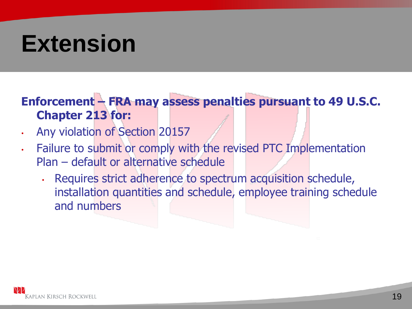#### **Enforcement – FRA may assess penalties pursuant to 49 U.S.C. Chapter 213 for:**

- Any violation of Section 20157
- Failure to submit or comply with the revised PTC Implementation Plan – default or alternative schedule
	- Requires strict adherence to spectrum acquisition schedule, installation quantities and schedule, employee training schedule and numbers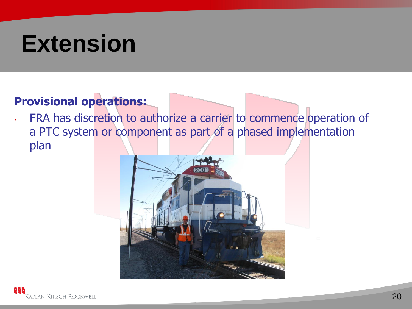#### **Provisional operations:**

• FRA has discretion to authorize a carrier to commence operation of a PTC system or component as part of a phased implementation plan

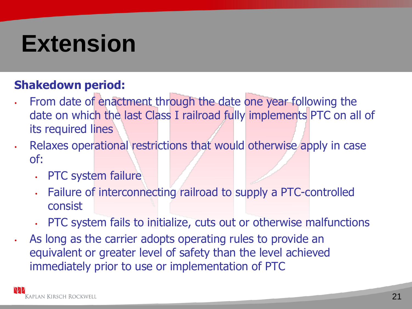#### **Shakedown period:**

- From date of enactment through the date one year following the date on which the last Class I railroad fully implements PTC on all of its required lines
- Relaxes operational restrictions that would otherwise apply in case of:
	- PTC system failure
	- Failure of interconnecting railroad to supply a PTC-controlled consist
	- PTC system fails to initialize, cuts out or otherwise malfunctions
- As long as the carrier adopts operating rules to provide an equivalent or greater level of safety than the level achieved immediately prior to use or implementation of PTC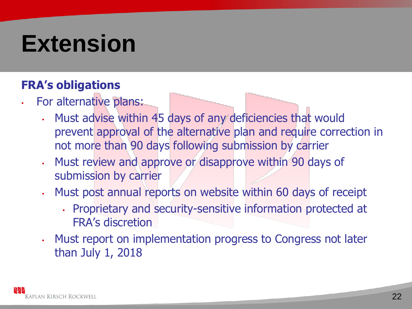#### **FRA's obligations**

- For alternative plans:
	- Must advise within 45 days of any deficiencies that would prevent approval of the alternative plan and require correction in not more than 90 days following submission by carrier
	- Must review and approve or disapprove within 90 days of submission by carrier
	- Must post annual reports on website within 60 days of receipt
		- Proprietary and security-sensitive information protected at FRA's discretion
	- Must report on implementation progress to Congress not later than July 1, 2018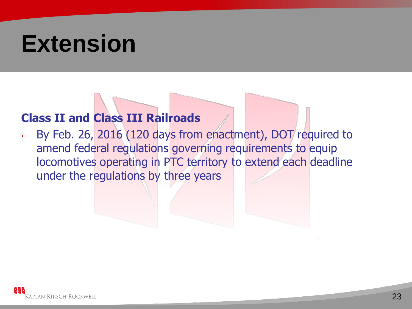#### **Class II and Class III Railroads**

• By Feb. 26, 2016 (120 days from enactment), DOT required to amend federal regulations governing requirements to equip locomotives operating in PTC territory to extend each deadline under the regulations by three years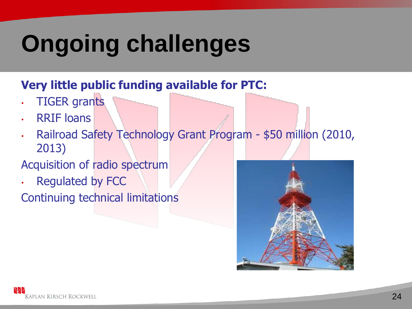## **Ongoing challenges**

#### **Very little public funding available for PTC:**

- TIGER grants
- RRIF loans
- Railroad Safety Technology Grant Program \$50 million (2010, 2013)

#### Acquisition of radio spectrum

• Regulated by FCC

Continuing technical limitations